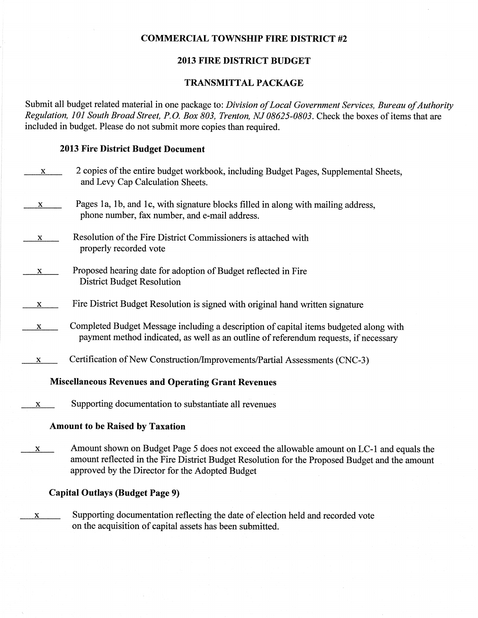### COMMERCIAL TOWNSHIP FIRE DISTRICT #2

### 2013 FIRE DISTRICT BUDGET

### TRANSMITTAL PACKAGE

Submit all budget related material in one package to: Division of Local Government Services, Bureau of Authority Regulation, 101 South Broad Street, P.O. Box 803, Trenton, NJ 08625-0803. Check the boxes of items that are included in budget. Please do not submit more copies than required.

### 2013 Fire District Budget Document

| X. | 2 copies of the entire budget workbook, including Budget Pages, Supplemental Sheets,<br>and Levy Cap Calculation Sheets.                                                                                                                       |
|----|------------------------------------------------------------------------------------------------------------------------------------------------------------------------------------------------------------------------------------------------|
| X  | Pages 1a, 1b, and 1c, with signature blocks filled in along with mailing address,<br>phone number, fax number, and e-mail address.                                                                                                             |
| X  | Resolution of the Fire District Commissioners is attached with<br>properly recorded vote                                                                                                                                                       |
| X. | Proposed hearing date for adoption of Budget reflected in Fire<br><b>District Budget Resolution</b>                                                                                                                                            |
| X  | Fire District Budget Resolution is signed with original hand written signature                                                                                                                                                                 |
| X  | Completed Budget Message including a description of capital items budgeted along with<br>payment method indicated, as well as an outline of referendum requests, if necessary                                                                  |
| X  | Certification of New Construction/Improvements/Partial Assessments (CNC-3)                                                                                                                                                                     |
|    | <b>Miscellaneous Revenues and Operating Grant Revenues</b>                                                                                                                                                                                     |
| X  | Supporting documentation to substantiate all revenues                                                                                                                                                                                          |
|    | <b>Amount to be Raised by Taxation</b>                                                                                                                                                                                                         |
| X  | Amount shown on Budget Page 5 does not exceed the allowable amount on LC-1 and equals the<br>amount reflected in the Fire District Budget Resolution for the Proposed Budget and the amount<br>approved by the Director for the Adopted Budget |
|    | <b>Capital Outlays (Budget Page 9)</b>                                                                                                                                                                                                         |

x Supporting documentation reflecting the date of election held and recorded vote on the acquisition of capital assets has been submitted.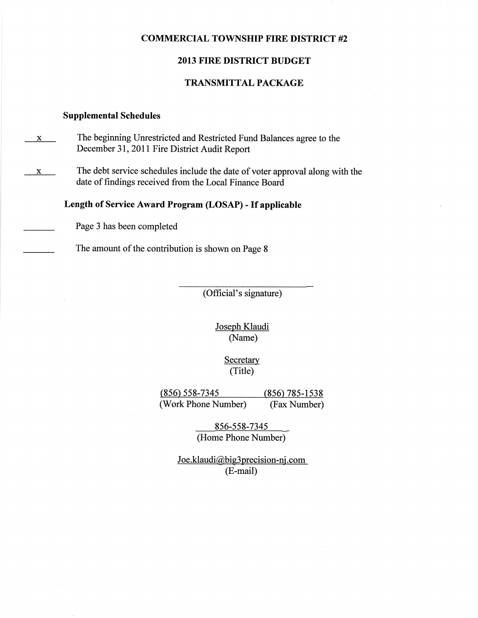#### COMMERCIAL TOWNSHIP FIRE DISTRICT #2

#### 2013 FIRE DISTRICT BUDGET

#### TRANSMITTAL PACKAGE

#### Supplemental Schedules

- x The beginning Unrestricted and Restricted Fund Balances agree to the December 3l,20ll Fire District Audit Report
- $x$  The debt service schedules include the date of voter approval along with the date of findings received from the Local Finance Board

Length of Service Award Program (LOSAP) - If applicable

Page 3 has been completed

The amount of the contribution is shown on Page 8

(Official's signature)

Joseph Klaudi (Name)

> **Secretary** (Title)

(856) 558-7345 (856) 785-1538<br>(Work Phone Number) (Fax Number) (Work Phone Number)

> 856-558-7345 (Home Phone Number)

Joe.klaudi@big3precision-nj.com (E-mail)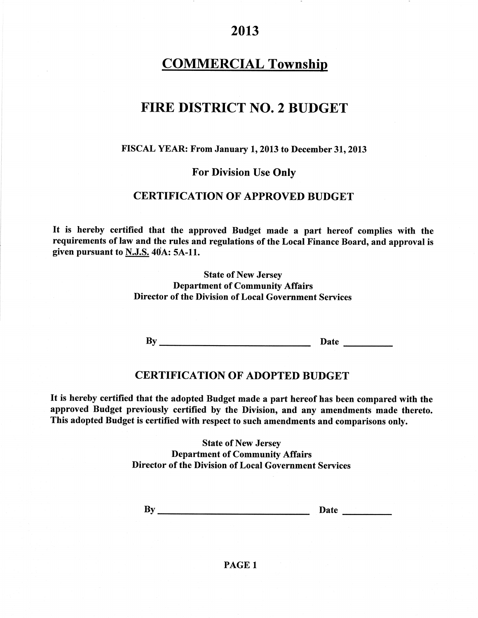# COMMERCIAL Township

## FIRE DISTRICT NO. 2 BUDGET

#### FISCAL YEAR: From January 1, 2013 to December 31, 2013

### For Division Use Onty

### **CERTIFICATION OF APPROVED BUDGET**

It is hereby certified that the approved Budget made a part hereof complies with the requirements of law and the rules and regulations of the Local Finance Board, and approval is given pursuant to  $N.J.S. 40A: 5A-11.$ 

> State of New Jersey Department of Community Affairs Director of the Division of Local Government Services

By Date Date

### **CERTIFICATION OF ADOPTED BUDGET**

It is hereby certified that the adopted Budget made a part hereof has been compared with the approved Budget previously certified by the Division, and any amendments made thereto. This adopted Budget is certified with respect to such amendments and comparisons only.

> State of New Jersey Department of Community Affairs Director of the Division of Local Government Services

By Date

### PAGE <sup>1</sup>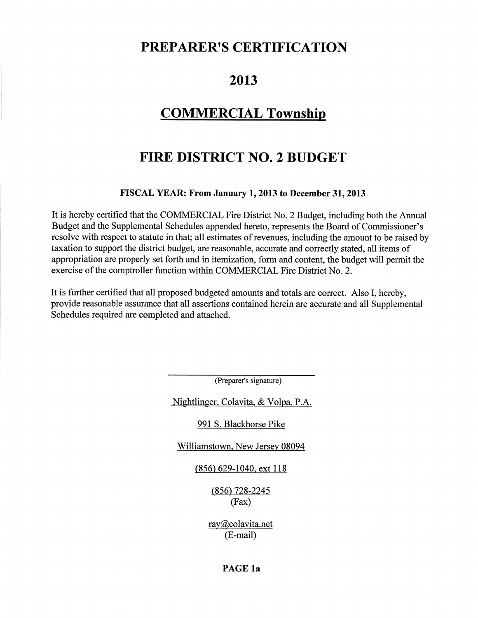## PREPARER'S CERTIFICATION

# 2013

## **COMMERCIAL Township**

# FIRE DISTRICT NO. 2 BUDGET

#### FISCAL YEAR: From January 1,2013 to December 31,2013

It is hereby certified that the COMMERCIAL Fire District No. 2 Budget, including both the Annual Budget and the Supplemental Schedules appended hereto, represents the Board of Commissioner's resolve with respect to statute in that; all estimates of revenues, including the amount to be raised by taxation to support the district budget, are reasonable, accurate and correctly stated, all items of appropriation are properly set forth and in itemization, form and content, the budget will permit the exercise of the comptroller function within COMMERCIAL Fire District No. 2.

It is further certified that all proposed budgeted amounts and totals are correct. Also I, hereby, provide reasonable assurance that all assertions contained herein are accurate and all Supplemental Schedules required are completed and attached.

(Preparer's signature)

Nightlinger. Colavita. & Volpa. P.A.

991 S. Blackhorse Pike

Williamstown, New Jersey 08094

(856) 629-1040. ext l18

 $(856)$  728-2245 (Fax)

ray@colavita.net (E-mail)

### PAGE la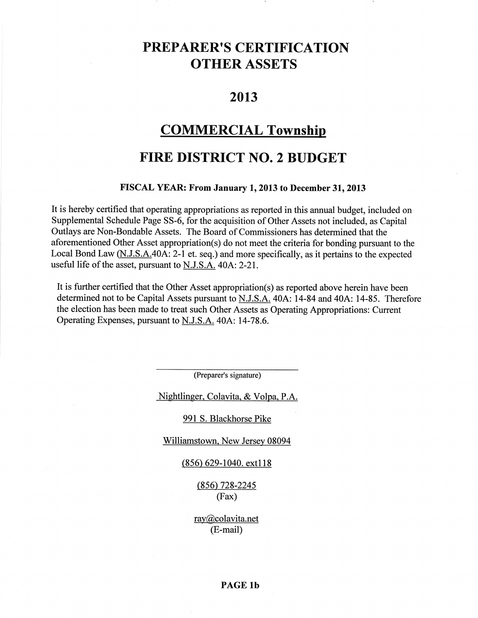# PREPARER'S CERTIFICATION OTHER ASSETS

## 2013

## COMMERCIAL Township

# FIRE DISTRICT NO. 2 BUDGET

#### FISCAL YEAR: From January 1, 2013 to December 31, 2013

It is hereby certified that operating appropriations as reported in this annual budget, included on Supplemental Schedule Page 55-6, for the acquisition of Other Assets not included, as Capital Outlays are Non-Bondable Assets. The Board of Commissioners has determined that the aforementioned Other Asset appropriation(s) do not meet the criteria for bonding pursuant to the Local Bond Law  $(N.J.S.A.40A:2-1$  et. seq.) and more specifically, as it pertains to the expected useful life of the asset, pursuant to  $N.J.S.A.$  40A: 2-21.

It is further certified that the Other Asset appropriation(s) as reported above herein have been determined not to be Capital Assets pursuant to N.J.S.A. 40A: 14-84 and 404: l4-85. Therefore the election has been made to treat such Other Assets as Operating Appropriations: Current Operating Expenses, pursuant to N.J.S.A. 40A: 14-78.6.

(Preparer's signature)

Nightlinger. Colavita. & Volpa. P.A.

#### 991 S. Blackhorse Pike

\Milliamstown. New Jersey 08094

#### (856) 629-1040. extl l8

(856) 728-2245 (Fax)

ray@colavita.net (E-mail)

### PAGE lb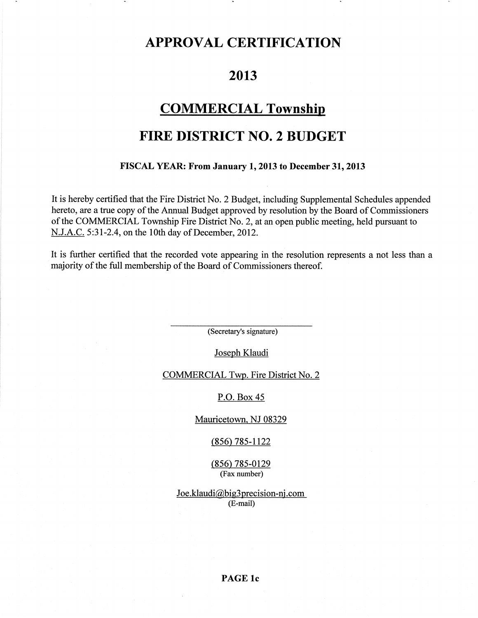# APPROVAL CERTIFICATION

## 2013

## COMMERCIAL Township

# FIRE DISTRICT NO.2 BUDGET

#### FISCAL YEAR: From January 1, 2013 to December 31, 2013

It is hereby certified that the Fire District No. 2 Budget, including Supplemental Schedules appended hereto, are a true copy of the Annual Budget approved by resolution by the Board of Commissioners of the COMMERCIAL Township Fire District No. 2, at an open public meeting, held pursuant to N.J.A.C. 5:31-2.4, on the 10th day of December, 2012.

It is further certified that the recorded vote appearing in the resolution represents a not less than a : majority of the full membership of the Board of Commissioners thereof.

(Secretary's signature)

Joseph Klaudi

COMMERCIAL Twp. Fire District No. 2

P.O. Box 45

Mauricetown. NJ 08329

 $(856)$  785-1122

(856) 785-0129 (Fax number)

 $Joe.klaudi@big3 precision-nj.com$ (E-mail)

PAGE lc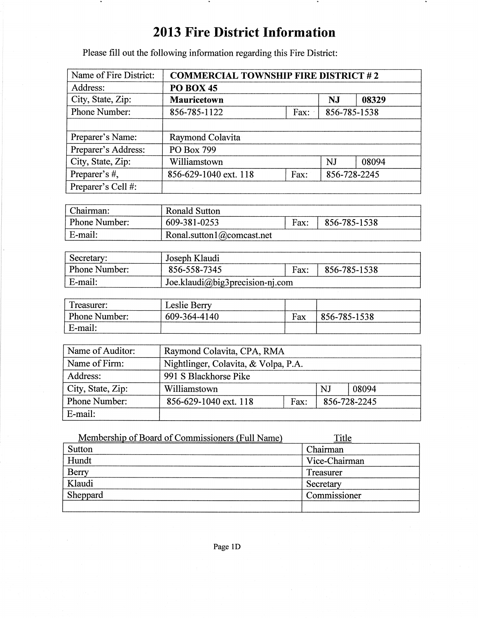# 2013 Fire District Information

Please fill out the following information regarding this Fire District:

 $\bullet$ 

| Name of Fire District:            | <b>COMMERCIAL TOWNSHIP FIRE DISTRICT #2</b> |              |              |       |  |  |
|-----------------------------------|---------------------------------------------|--------------|--------------|-------|--|--|
| Address:                          | <b>PO BOX 45</b>                            |              |              |       |  |  |
| City, State, Zip:                 | <b>Mauricetown</b>                          |              |              | 08329 |  |  |
| Phone Number:                     | 856-785-1122                                | 856-785-1538 |              |       |  |  |
|                                   |                                             |              |              |       |  |  |
| Preparer's Name:                  | Raymond Colavita                            |              |              |       |  |  |
| Preparer's Address:               | PO Box 799                                  |              |              |       |  |  |
| City, State, Zip:<br>Williamstown |                                             |              | <b>NJ</b>    | 08094 |  |  |
| Preparer's #,                     | 856-629-1040 ext. 118<br>Fax:               |              | 856-728-2245 |       |  |  |
| Preparer's Cell #:                |                                             |              |              |       |  |  |

| Chairman:                     | Ronald Sutton             |      |                 |
|-------------------------------|---------------------------|------|-----------------|
| Phone Number:<br>609-381-0253 |                           | Fax: | $ 856-785-1538$ |
| E-mail:                       | Ronal.sutton1@comcast.net |      |                 |

| Secretary:           | Joseph Klaudi                   |      |              |  |
|----------------------|---------------------------------|------|--------------|--|
| <b>Phone Number:</b> | 856-558-7345                    | Fax: | 856-785-1538 |  |
| ' E-mail:            | Joe.klaudi@big3precision-nj.com |      |              |  |

| Treasurer:    | Leslie Berry |     |              |
|---------------|--------------|-----|--------------|
| Phone Number: | 609-364-4140 | Fax | 856-785-1538 |
| E-mail:       |              |     |              |

| Name of Auditor:                  | Raymond Colavita, CPA, RMA           |  |  |              |  |
|-----------------------------------|--------------------------------------|--|--|--------------|--|
| Name of Firm:                     | Nightlinger, Colavita, & Volpa, P.A. |  |  |              |  |
| Address:<br>991 S Blackhorse Pike |                                      |  |  |              |  |
| City, State, Zip:                 | Williamstown                         |  |  | 08094        |  |
| Phone Number:                     | 856-629-1040 ext. 118<br>Fax:        |  |  | 856-728-2245 |  |
| E-mail:                           |                                      |  |  |              |  |

| Membership of Board of Commissioners (Full Name) | Title         |
|--------------------------------------------------|---------------|
| Sutton                                           | Chairman      |
| Hundt                                            | Vice-Chairman |
| <b>Berry</b>                                     | Treasurer     |
| Klaudi                                           | Secretary     |
| Sheppard                                         | Commissioner  |
|                                                  |               |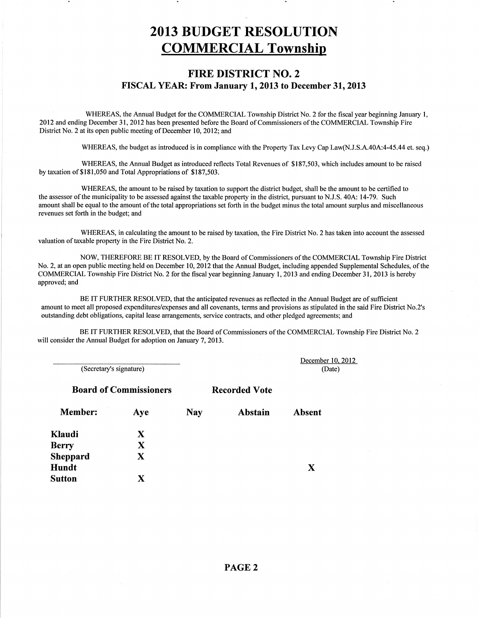# 2OI3 BUDGET RESOLUTION COMMERCIAL Township

### FIRE DISTRICT NO.2 TISCAL YEAR: From January 1,2013 to December 31,2013

' WHEREAS, the Annual Budget for the COMMERCIAL Township District No. 2 for the fiscal year beginning January l, 2012 and ending December 31, 2012 has been presented before the Board of Commissioners of the COMMERCIAL Township Fire District No. 2 at its open public meeting of December 10, 2012; and

WHEREAS, the budget as introduced is in compliance with the Property Tax Levy Cap Law(N.J.S.A.40A:4-45.44 et. seq.)

WHEREAS, the Annual Budget as introduced reflects Total Revenues of \$187,503, which includes amount to be raised by taxation of \$181,050 and Total Appropriations of \$187,503.

WHEREAS, the amount to be raised by taxation to support the district budget, shall be the amount to be certifïed to the assessor of the municipality to be assessed against the taxable property in the district, pursuant to N.J.S. 40A: 14-79. Such : amount shall be equal to the amount of the total appropriations set forth in the budget minus the total amount surplus and miscellaneous : revenues set forth in the budget; and

WHEREAS, in calculating the amount to be raised by taxation, the Fire District No. 2 has taken into account the assessed valuation of taxable property in the Fire District No. 2.

NOW, THEREFORE BE IT RESOLVED, by the Board of Commissioners of the COMMERCIAL Township Fire District No. 2, at an open public meeting held on December 10, 2012 that the Annual Budget, including appended Supplemental Schedules, of the COMMERCIAL Township Fire Disfrict No. 2 for the fiscal year beginning January l,2013 and ending December 31,2013 is hereby approved; and

BE IT FURTHER RESOLVED, that the anticipated revenues as reflected in the Annual Budget are of sufücient amount to meet all proposed expenditures/expenses and all covenants, terms and provisions as stipulated in the said Fire District No.2's outstanding debt obligations, capital lease arrangements, service contracts, and other pledged agreements; and

BE IT FURTHER RESOLVED, that the Board of Commissioners of the COMMERCIAL Township Fire District No. 2 will consider the Annual Budget for adoption on January 7, 2013.

(Secretary's signature)

**Board of Commissioners Recorded Vote** 

December 10.2012 (Date)

| Aye | <b>Nay</b> | Abstain | Absent |
|-----|------------|---------|--------|
| X   |            |         |        |
| X   |            |         |        |
| X   |            |         |        |
|     |            |         |        |
|     |            |         |        |
|     |            |         |        |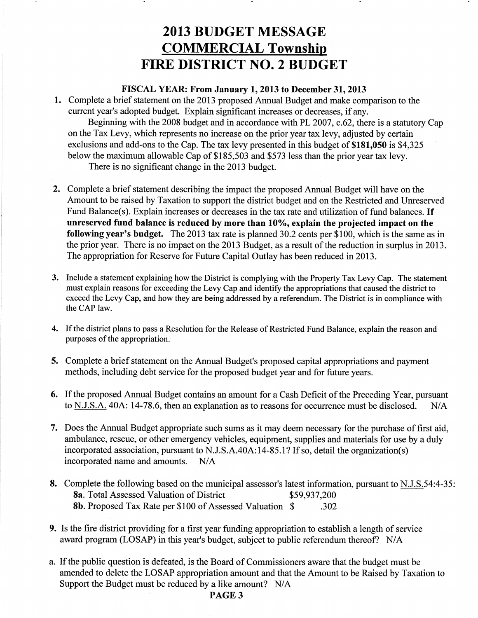# 2OI3 BUDGET MESSAGE COMMERCIAL Township FIRE DISTRICT NO.2 BUDGET

#### FISCAL YEAR: From January 1,2013 to December 31,2013

1. Complete a brief statement on the 2013 proposed Annual Budget and make comparison to the current year's adopted budget. Explain significant increases or decreases, if any.

Beginning with the 2008 budget and in accordance with PL 2007, c.62, there is a statutory Cap on the Tax Levy, which represents no increase on the prior year tax levy, adjusted by certain exclusions and add-ons to the Cap. The tax levy presented in this budget of \$181,050 is \$4,325 below the maximum allowable Cap of \$185,503 and \$573 less than the prior year tax levy. There is no significant change in the 2013 budget.

- 2. Complete a brief statement describing the impact the proposed Annual Budget will have on the Amount to be raised by Taxation to support the district budget and on the Restricted and Unreserved Fund Balance(s). Explain increases or decreases in the tax rate and utilization of fund balances. If unreserved fund balance is reduced by more than 10%, explain the projected impact on the following year's budget. The 2013 tax rate is planned 30.2 cents per \$100, which is the same as in the prior year. There is no impact on the 2013 Budget, as a result of the reduction in surplus in 2013. The appropriation for Reserve for Future Capital Outlay has been reduced in 2013.
- 3. Include a statement explaining how the District is complying with the Property Tax Levy Cap. The statement must explain reasons for exceeding the Levy Cap and identify the appropriations that caused the district to exceed the Levy Cap, and how they are being addressed by a referendum. The District is in compliance with the CAP law.
- 4. If the district plans to pass a Resolution for the Release of Restricted Fund Balance, explain the reason and purposes of the appropriation.
- Complete a brief statement on the Annual Budget's proposed capital appropriations and payment 3. methods, including debt service for the proposed budget year and for future years.
- 6. If the proposed Annual Budget contains an amount for a Cash Deficit of the Preceding Year, pursuant to N.J.S.A. 40A: 14-78.6, then an explanation as to reasons for occurrence must be disclosed. N/A
- Does the Annual Budget appropriate such sums as it may deem necessary for the purchase of first aid, 7. ambulance, rescue, or other emergency vehicles, equipment, supplies and materials for use by a duly incorporated association, pursuant to N.J.S.A.40A:14-85.1? If so, detail the organization(s) incorporated name and amounts. N/A
- 8. Complete the following based on the municipal assessor's latest information, pursuant to **N.J.S.**54:4-35 8a. Total Assessed Valuation of District \$59,937,200 8b. Proposed Tax Rate per \$100 of Assessed Valuation \$ .302
- 9. Is the fire district providing for a first year funding appropriation to establish a length of service award program (LOSAP) in this year's budget, subject to public referendum thereof? N/A
- a. If the public question is defeated, is the Board of Commissioners aware that the budget must be amended to delete the LOSAP appropriation amount and that the Amount to be Raised by Taxation to Support the Budget must be reduced by a like amount? N/A

PAGE 3